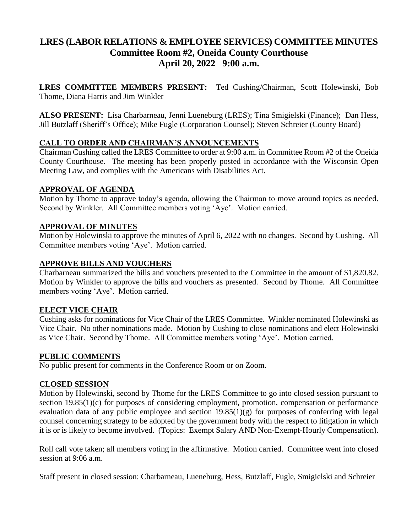# **LRES (LABOR RELATIONS & EMPLOYEE SERVICES) COMMITTEE MINUTES Committee Room #2, Oneida County Courthouse April 20, 2022 9:00 a.m.**

**LRES COMMITTEE MEMBERS PRESENT:** Ted Cushing/Chairman, Scott Holewinski, Bob Thome, Diana Harris and Jim Winkler

**ALSO PRESENT:** Lisa Charbarneau, Jenni Lueneburg (LRES); Tina Smigielski (Finance); Dan Hess, Jill Butzlaff (Sheriff's Office); Mike Fugle (Corporation Counsel); Steven Schreier (County Board)

# **CALL TO ORDER AND CHAIRMAN'S ANNOUNCEMENTS**

Chairman Cushing called the LRES Committee to order at 9:00 a.m. in Committee Room #2 of the Oneida County Courthouse. The meeting has been properly posted in accordance with the Wisconsin Open Meeting Law, and complies with the Americans with Disabilities Act.

# **APPROVAL OF AGENDA**

Motion by Thome to approve today's agenda, allowing the Chairman to move around topics as needed. Second by Winkler. All Committee members voting 'Aye'. Motion carried.

# **APPROVAL OF MINUTES**

Motion by Holewinski to approve the minutes of April 6, 2022 with no changes. Second by Cushing. All Committee members voting 'Aye'. Motion carried.

# **APPROVE BILLS AND VOUCHERS**

Charbarneau summarized the bills and vouchers presented to the Committee in the amount of \$1,820.82. Motion by Winkler to approve the bills and vouchers as presented. Second by Thome. All Committee members voting 'Aye'. Motion carried.

## **ELECT VICE CHAIR**

Cushing asks for nominations for Vice Chair of the LRES Committee. Winkler nominated Holewinski as Vice Chair. No other nominations made. Motion by Cushing to close nominations and elect Holewinski as Vice Chair. Second by Thome. All Committee members voting 'Aye'. Motion carried.

## **PUBLIC COMMENTS**

No public present for comments in the Conference Room or on Zoom.

## **CLOSED SESSION**

Motion by Holewinski, second by Thome for the LRES Committee to go into closed session pursuant to section 19.85(1)(c) for purposes of considering employment, promotion, compensation or performance evaluation data of any public employee and section  $19.85(1)(g)$  for purposes of conferring with legal counsel concerning strategy to be adopted by the government body with the respect to litigation in which it is or is likely to become involved. (Topics: Exempt Salary AND Non-Exempt-Hourly Compensation).

Roll call vote taken; all members voting in the affirmative. Motion carried. Committee went into closed session at 9:06 a.m.

Staff present in closed session: Charbarneau, Lueneburg, Hess, Butzlaff, Fugle, Smigielski and Schreier